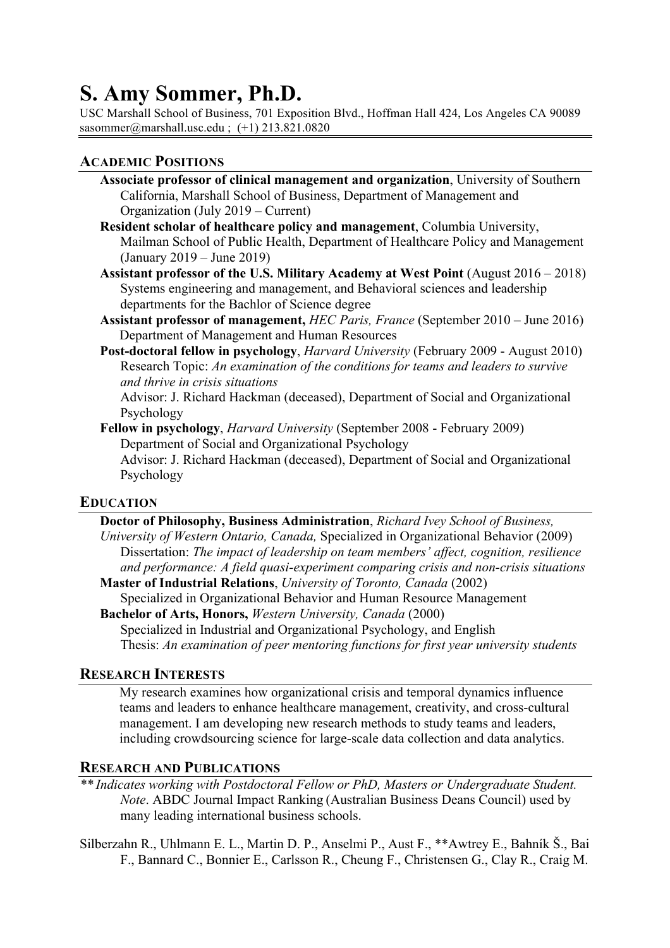# **S. Amy Sommer, Ph.D.**

USC Marshall School of Business, 701 Exposition Blvd., Hoffman Hall 424, Los Angeles CA 90089 sasommer@marshall.usc.edu; (+1) 213.821.0820

# **ACADEMIC POSITIONS**

**Associate professor of clinical management and organization**, University of Southern California, Marshall School of Business, Department of Management and Organization (July 2019 – Current)

**Resident scholar of healthcare policy and management**, Columbia University, Mailman School of Public Health, Department of Healthcare Policy and Management (January 2019 – June 2019)

**Assistant professor of the U.S. Military Academy at West Point** (August 2016 – 2018) Systems engineering and management, and Behavioral sciences and leadership departments for the Bachlor of Science degree

- **Assistant professor of management,** *HEC Paris, France* (September 2010 June 2016) Department of Management and Human Resources
- **Post-doctoral fellow in psychology**, *Harvard University* (February 2009 August 2010) Research Topic: *An examination of the conditions for teams and leaders to survive and thrive in crisis situations*

Advisor: J. Richard Hackman (deceased), Department of Social and Organizational Psychology

**Fellow in psychology**, *Harvard University* (September 2008 - February 2009) Department of Social and Organizational Psychology Advisor: J. Richard Hackman (deceased), Department of Social and Organizational Psychology

## **EDUCATION**

**Doctor of Philosophy, Business Administration**, *Richard Ivey School of Business,* 

*University of Western Ontario, Canada,* Specialized in Organizational Behavior (2009) Dissertation: *The impact of leadership on team members' affect, cognition, resilience and performance: A field quasi-experiment comparing crisis and non-crisis situations*

**Master of Industrial Relations**, *University of Toronto, Canada* (2002) Specialized in Organizational Behavior and Human Resource Management

**Bachelor of Arts, Honors,** *Western University, Canada* (2000) Specialized in Industrial and Organizational Psychology, and English Thesis: *An examination of peer mentoring functions for first year university students*

## **RESEARCH INTERESTS**

My research examines how organizational crisis and temporal dynamics influence teams and leaders to enhance healthcare management, creativity, and cross-cultural management. I am developing new research methods to study teams and leaders, including crowdsourcing science for large-scale data collection and data analytics.

## **RESEARCH AND PUBLICATIONS**

*\*\* Indicates working with Postdoctoral Fellow or PhD, Masters or Undergraduate Student. Note*. ABDC Journal Impact Ranking (Australian Business Deans Council) used by many leading international business schools.

Silberzahn R., Uhlmann E. L., Martin D. P., Anselmi P., Aust F., \*\*Awtrey E., Bahník Š., Bai F., Bannard C., Bonnier E., Carlsson R., Cheung F., Christensen G., Clay R., Craig M.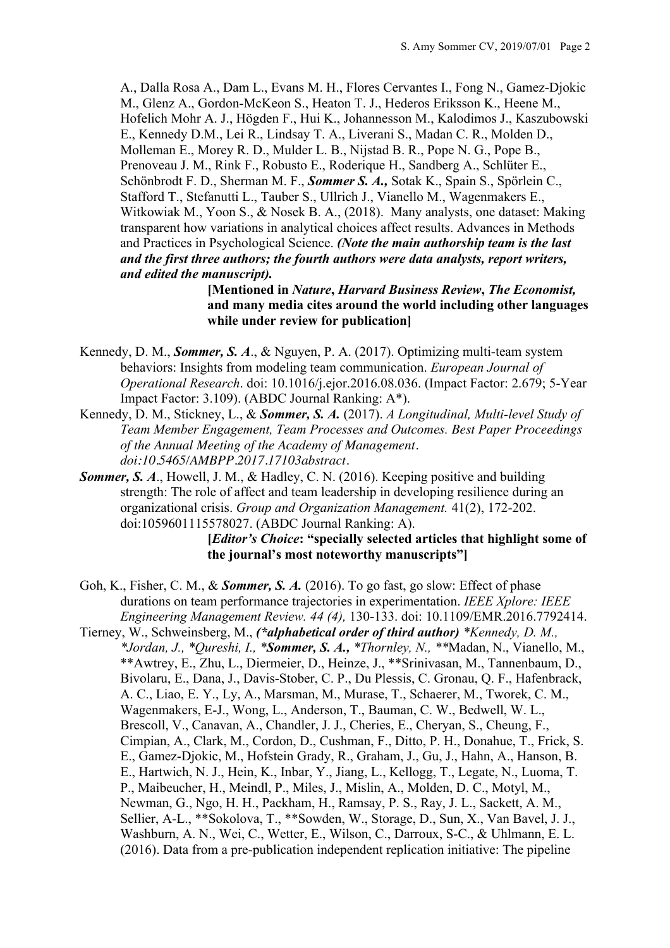A., Dalla Rosa A., Dam L., Evans M. H., Flores Cervantes I., Fong N., Gamez-Djokic M., Glenz A., Gordon-McKeon S., Heaton T. J., Hederos Eriksson K., Heene M., Hofelich Mohr A. J., Högden F., Hui K., Johannesson M., Kalodimos J., Kaszubowski E., Kennedy D.M., Lei R., Lindsay T. A., Liverani S., Madan C. R., Molden D., Molleman E., Morey R. D., Mulder L. B., Nijstad B. R., Pope N. G., Pope B., Prenoveau J. M., Rink F., Robusto E., Roderique H., Sandberg A., Schlüter E., Schönbrodt F. D., Sherman M. F., *Sommer S. A.,* Sotak K., Spain S., Spörlein C., Stafford T., Stefanutti L., Tauber S., Ullrich J., Vianello M., Wagenmakers E., Witkowiak M., Yoon S., & Nosek B. A., (2018). Many analysts, one dataset: Making transparent how variations in analytical choices affect results. Advances in Methods and Practices in Psychological Science. *(Note the main authorship team is the last and the first three authors; the fourth authors were data analysts, report writers, and edited the manuscript).*

> **[Mentioned in** *Nature***,** *Harvard Business Review***,** *The Economist,* **and many media cites around the world including other languages while under review for publication]**

- Kennedy, D. M., *Sommer, S. A*., & Nguyen, P. A. (2017). Optimizing multi-team system behaviors: Insights from modeling team communication. *European Journal of Operational Research*. doi: 10.1016/j.ejor.2016.08.036. (Impact Factor: 2.679; 5-Year Impact Factor: 3.109). (ABDC Journal Ranking: A\*).
- Kennedy, D. M., Stickney, L., & *Sommer, S. A.* (2017). *A Longitudinal, Multi-level Study of Team Member Engagement, Team Processes and Outcomes. Best Paper Proceedings of the Annual Meeting of the Academy of Management. doi:10.5465/AMBPP.2017.17103abstract.*
- **Sommer, S. A., Howell, J. M., & Hadley, C. N. (2016). Keeping positive and building** strength: The role of affect and team leadership in developing resilience during an organizational crisis. *Group and Organization Management.* 41(2), 172-202. doi:1059601115578027. (ABDC Journal Ranking: A).

**[***Editor's Choice***: "specially selected articles that highlight some of the journal's most noteworthy manuscripts"]**

Goh, K., Fisher, C. M., & *Sommer, S. A.* (2016). To go fast, go slow: Effect of phase durations on team performance trajectories in experimentation. *IEEE Xplore: IEEE Engineering Management Review. 44 (4),* 130-133. doi: 10.1109/EMR.2016.7792414.

Tierney, W., Schweinsberg, M., *(\*alphabetical order of third author) \*Kennedy, D. M., \*Jordan, J., \*Qureshi, I., \*Sommer, S. A., \*Thornley, N., \*\**Madan, N., Vianello, M., \*\*Awtrey, E., Zhu, L., Diermeier, D., Heinze, J., \*\*Srinivasan, M., Tannenbaum, D., Bivolaru, E., Dana, J., Davis-Stober, C. P., Du Plessis, C. Gronau, Q. F., Hafenbrack, A. C., Liao, E. Y., Ly, A., Marsman, M., Murase, T., Schaerer, M., Tworek, C. M., Wagenmakers, E-J., Wong, L., Anderson, T., Bauman, C. W., Bedwell, W. L., Brescoll, V., Canavan, A., Chandler, J. J., Cheries, E., Cheryan, S., Cheung, F., Cimpian, A., Clark, M., Cordon, D., Cushman, F., Ditto, P. H., Donahue, T., Frick, S. E., Gamez-Djokic, M., Hofstein Grady, R., Graham, J., Gu, J., Hahn, A., Hanson, B. E., Hartwich, N. J., Hein, K., Inbar, Y., Jiang, L., Kellogg, T., Legate, N., Luoma, T. P., Maibeucher, H., Meindl, P., Miles, J., Mislin, A., Molden, D. C., Motyl, M., Newman, G., Ngo, H. H., Packham, H., Ramsay, P. S., Ray, J. L., Sackett, A. M., Sellier, A-L., \*\*Sokolova, T., \*\*Sowden, W., Storage, D., Sun, X., Van Bavel, J. J., Washburn, A. N., Wei, C., Wetter, E., Wilson, C., Darroux, S-C., & Uhlmann, E. L. (2016). Data from a pre-publication independent replication initiative: The pipeline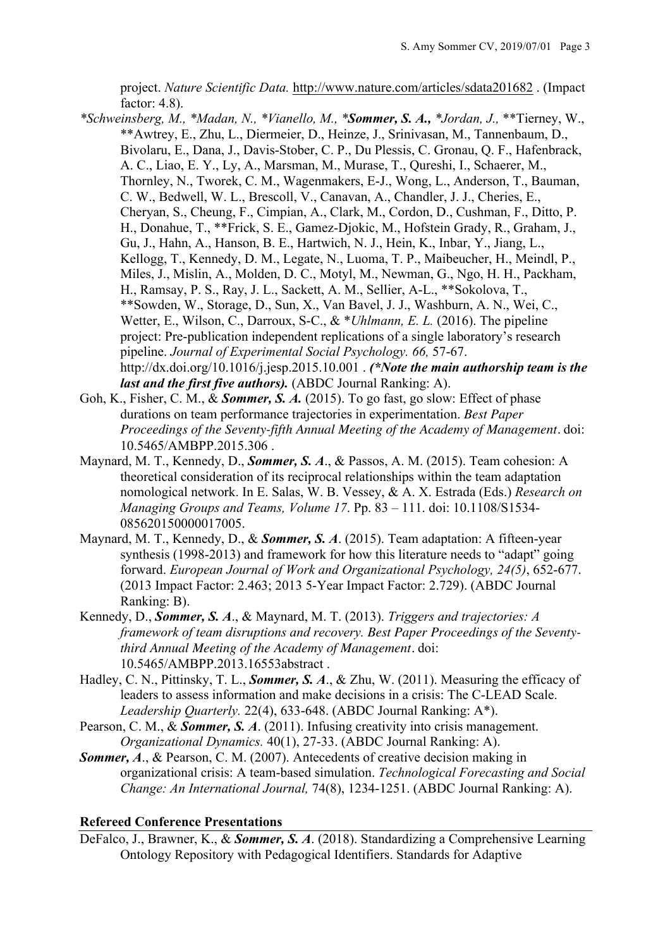project. *Nature Scientific Data.* http://www.nature.com/articles/sdata201682 . (Impact factor: 4.8).

- *\*Schweinsberg, M., \*Madan, N., \*Vianello, M., \*Sommer, S. A., \*Jordan, J.,* \*\*Tierney, W., \*\*Awtrey, E., Zhu, L., Diermeier, D., Heinze, J., Srinivasan, M., Tannenbaum, D., Bivolaru, E., Dana, J., Davis-Stober, C. P., Du Plessis, C. Gronau, Q. F., Hafenbrack, A. C., Liao, E. Y., Ly, A., Marsman, M., Murase, T., Qureshi, I., Schaerer, M., Thornley, N., Tworek, C. M., Wagenmakers, E-J., Wong, L., Anderson, T., Bauman, C. W., Bedwell, W. L., Brescoll, V., Canavan, A., Chandler, J. J., Cheries, E., Cheryan, S., Cheung, F., Cimpian, A., Clark, M., Cordon, D., Cushman, F., Ditto, P. H., Donahue, T., \*\*Frick, S. E., Gamez-Djokic, M., Hofstein Grady, R., Graham, J., Gu, J., Hahn, A., Hanson, B. E., Hartwich, N. J., Hein, K., Inbar, Y., Jiang, L., Kellogg, T., Kennedy, D. M., Legate, N., Luoma, T. P., Maibeucher, H., Meindl, P., Miles, J., Mislin, A., Molden, D. C., Motyl, M., Newman, G., Ngo, H. H., Packham, H., Ramsay, P. S., Ray, J. L., Sackett, A. M., Sellier, A-L., \*\*Sokolova, T., \*\*Sowden, W., Storage, D., Sun, X., Van Bavel, J. J., Washburn, A. N., Wei, C., Wetter, E., Wilson, C., Darroux, S-C., & \**Uhlmann, E. L.* (2016). The pipeline project: Pre-publication independent replications of a single laboratory's research pipeline. *Journal of Experimental Social Psychology. 66,* 57-67. http://dx.doi.org/10.1016/j.jesp.2015.10.001 . *(\*Note the main authorship team is the last and the first five authors).* (ABDC Journal Ranking: A).
- Goh, K., Fisher, C. M., & *Sommer, S. A.* (2015). To go fast, go slow: Effect of phase durations on team performance trajectories in experimentation. *Best Paper Proceedings of the Seventy-fifth Annual Meeting of the Academy of Management.* doi: 10.5465/AMBPP.2015.306 .
- Maynard, M. T., Kennedy, D., *Sommer, S. A*., & Passos, A. M. (2015). Team cohesion: A theoretical consideration of its reciprocal relationships within the team adaptation nomological network. In E. Salas, W. B. Vessey, & A. X. Estrada (Eds.) *Research on Managing Groups and Teams, Volume 17*. Pp. 83 – 111. doi: 10.1108/S1534- 085620150000017005.
- Maynard, M. T., Kennedy, D., & *Sommer, S. A*. (2015). Team adaptation: A fifteen-year synthesis (1998-2013) and framework for how this literature needs to "adapt" going forward. *European Journal of Work and Organizational Psychology, 24(5)*, 652-677. (2013 Impact Factor: 2.463; 2013 5-Year Impact Factor: 2.729). (ABDC Journal Ranking: B).
- Kennedy, D., *Sommer, S. A*., & Maynard, M. T. (2013). *Triggers and trajectories: A framework of team disruptions and recovery. Best Paper Proceedings of the Seventythird Annual Meeting of the Academy of Management.* doi: 10.5465/AMBPP.2013.16553abstract .
- Hadley, C. N., Pittinsky, T. L., *Sommer, S. A*., & Zhu, W. (2011). Measuring the efficacy of leaders to assess information and make decisions in a crisis: The C-LEAD Scale. *Leadership Quarterly.* 22(4), 633-648. (ABDC Journal Ranking: A\*).
- Pearson, C. M., & *Sommer, S. A*. (2011). Infusing creativity into crisis management. *Organizational Dynamics.* 40(1), 27-33. (ABDC Journal Ranking: A).
- *Sommer, A*., & Pearson, C. M. (2007). Antecedents of creative decision making in organizational crisis: A team-based simulation. *Technological Forecasting and Social Change: An International Journal,* 74(8), 1234-1251. (ABDC Journal Ranking: A).

#### **Refereed Conference Presentations**

DeFalco, J., Brawner, K., & *Sommer, S. A*. (2018). Standardizing a Comprehensive Learning Ontology Repository with Pedagogical Identifiers. Standards for Adaptive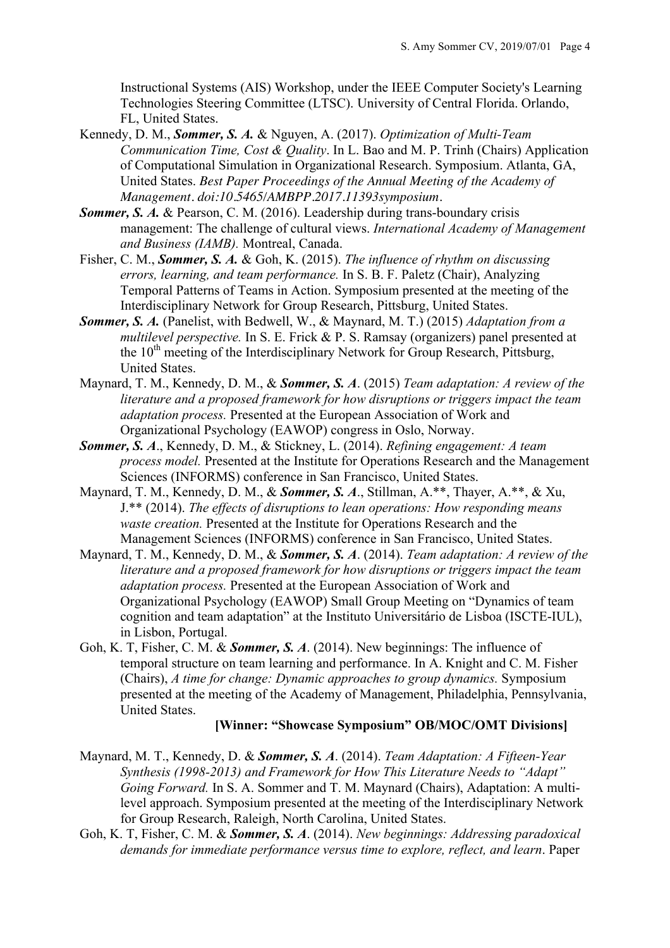Instructional Systems (AIS) Workshop, under the IEEE Computer Society's Learning Technologies Steering Committee (LTSC). University of Central Florida. Orlando, FL, United States.

- Kennedy, D. M., *Sommer, S. A.* & Nguyen, A. (2017). *Optimization of Multi-Team Communication Time, Cost & Quality*. In L. Bao and M. P. Trinh (Chairs) Application of Computational Simulation in Organizational Research. Symposium. Atlanta, GA, United States. *Best Paper Proceedings of the Annual Meeting of the Academy of Management. doi:10.5465/AMBPP.2017.11393symposium.*
- *Sommer, S. A.* & Pearson, C. M. (2016). Leadership during trans-boundary crisis management: The challenge of cultural views. *International Academy of Management and Business (IAMB).* Montreal, Canada.
- Fisher, C. M., *Sommer, S. A.* & Goh, K. (2015). *The influence of rhythm on discussing errors, learning, and team performance.* In S. B. F. Paletz (Chair), Analyzing Temporal Patterns of Teams in Action. Symposium presented at the meeting of the Interdisciplinary Network for Group Research, Pittsburg, United States.
- *Sommer, S. A.* (Panelist, with Bedwell, W., & Maynard, M. T.) (2015) *Adaptation from a multilevel perspective.* In S. E. Frick & P. S. Ramsay (organizers) panel presented at the  $10<sup>th</sup>$  meeting of the Interdisciplinary Network for Group Research, Pittsburg, United States.
- Maynard, T. M., Kennedy, D. M., & *Sommer, S. A*. (2015) *Team adaptation: A review of the literature and a proposed framework for how disruptions or triggers impact the team adaptation process.* Presented at the European Association of Work and Organizational Psychology (EAWOP) congress in Oslo, Norway.
- *Sommer, S. A*., Kennedy, D. M., & Stickney, L. (2014). *Refining engagement: A team process model.* Presented at the Institute for Operations Research and the Management Sciences (INFORMS) conference in San Francisco, United States.
- Maynard, T. M., Kennedy, D. M., & *Sommer, S. A*., Stillman, A.\*\*, Thayer, A.\*\*, & Xu, J.\*\* (2014). *The effects of disruptions to lean operations: How responding means waste creation.* Presented at the Institute for Operations Research and the Management Sciences (INFORMS) conference in San Francisco, United States.
- Maynard, T. M., Kennedy, D. M., & *Sommer, S. A*. (2014). *Team adaptation: A review of the literature and a proposed framework for how disruptions or triggers impact the team adaptation process.* Presented at the European Association of Work and Organizational Psychology (EAWOP) Small Group Meeting on "Dynamics of team cognition and team adaptation" at the Instituto Universitário de Lisboa (ISCTE-IUL), in Lisbon, Portugal.
- Goh, K. T, Fisher, C. M. & *Sommer, S. A*. (2014). New beginnings: The influence of temporal structure on team learning and performance. In A. Knight and C. M. Fisher (Chairs), *A time for change: Dynamic approaches to group dynamics.* Symposium presented at the meeting of the Academy of Management, Philadelphia, Pennsylvania, United States.

#### **[Winner: "Showcase Symposium" OB/MOC/OMT Divisions]**

- Maynard, M. T., Kennedy, D. & *Sommer, S. A*. (2014). *Team Adaptation: A Fifteen-Year Synthesis (1998-2013) and Framework for How This Literature Needs to "Adapt" Going Forward.* In S. A. Sommer and T. M. Maynard (Chairs), Adaptation: A multilevel approach. Symposium presented at the meeting of the Interdisciplinary Network for Group Research, Raleigh, North Carolina, United States.
- Goh, K. T, Fisher, C. M. & *Sommer, S. A*. (2014). *New beginnings: Addressing paradoxical demands for immediate performance versus time to explore, reflect, and learn*. Paper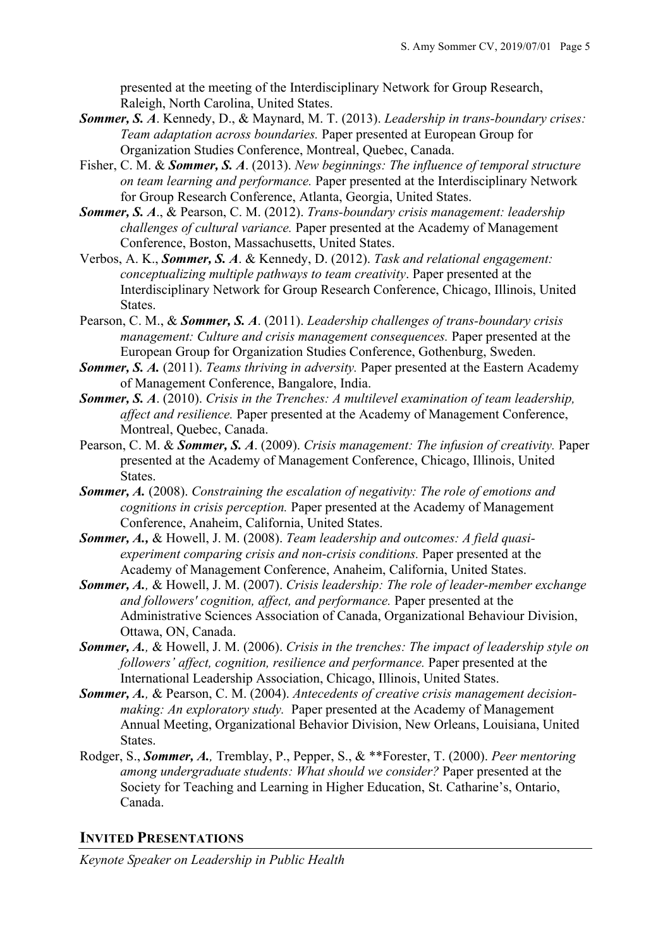presented at the meeting of the Interdisciplinary Network for Group Research, Raleigh, North Carolina, United States.

- *Sommer, S. A*. Kennedy, D., & Maynard, M. T. (2013). *Leadership in trans-boundary crises: Team adaptation across boundaries.* Paper presented at European Group for Organization Studies Conference, Montreal, Quebec, Canada.
- Fisher, C. M. & *Sommer, S. A*. (2013). *New beginnings: The influence of temporal structure on team learning and performance.* Paper presented at the Interdisciplinary Network for Group Research Conference, Atlanta, Georgia, United States.
- *Sommer, S. A*., & Pearson, C. M. (2012). *Trans-boundary crisis management: leadership challenges of cultural variance.* Paper presented at the Academy of Management Conference, Boston, Massachusetts, United States.
- Verbos, A. K., *Sommer, S. A*. & Kennedy, D. (2012). *Task and relational engagement: conceptualizing multiple pathways to team creativity*. Paper presented at the Interdisciplinary Network for Group Research Conference, Chicago, Illinois, United States.
- Pearson, C. M., & *Sommer, S. A*. (2011). *Leadership challenges of trans-boundary crisis management: Culture and crisis management consequences.* Paper presented at the European Group for Organization Studies Conference, Gothenburg, Sweden.
- *Sommer, S. A.* (2011). *Teams thriving in adversity.* Paper presented at the Eastern Academy of Management Conference, Bangalore, India.
- *Sommer, S. A*. (2010). *Crisis in the Trenches: A multilevel examination of team leadership, affect and resilience.* Paper presented at the Academy of Management Conference, Montreal, Quebec, Canada.
- Pearson, C. M. & *Sommer, S. A*. (2009). *Crisis management: The infusion of creativity.* Paper presented at the Academy of Management Conference, Chicago, Illinois, United **States**.
- *Sommer, A.* (2008). *Constraining the escalation of negativity: The role of emotions and cognitions in crisis perception.* Paper presented at the Academy of Management Conference, Anaheim, California, United States.
- *Sommer, A.,* & Howell, J. M. (2008). *Team leadership and outcomes: A field quasiexperiment comparing crisis and non-crisis conditions.* Paper presented at the Academy of Management Conference, Anaheim, California, United States.
- *Sommer, A.,* & Howell, J. M. (2007). *Crisis leadership: The role of leader-member exchange and followers' cognition, affect, and performance.* Paper presented at the Administrative Sciences Association of Canada, Organizational Behaviour Division, Ottawa, ON, Canada.
- *Sommer, A.,* & Howell, J. M. (2006). *Crisis in the trenches: The impact of leadership style on followers' affect, cognition, resilience and performance.* Paper presented at the International Leadership Association, Chicago, Illinois, United States.
- *Sommer, A.,* & Pearson, C. M. (2004). *Antecedents of creative crisis management decisionmaking: An exploratory study.* Paper presented at the Academy of Management Annual Meeting, Organizational Behavior Division, New Orleans, Louisiana, United States.
- Rodger, S., *Sommer, A.,* Tremblay, P., Pepper, S., & \*\*Forester, T. (2000). *Peer mentoring among undergraduate students: What should we consider?* Paper presented at the Society for Teaching and Learning in Higher Education, St. Catharine's, Ontario, Canada.

## **INVITED PRESENTATIONS**

*Keynote Speaker on Leadership in Public Health*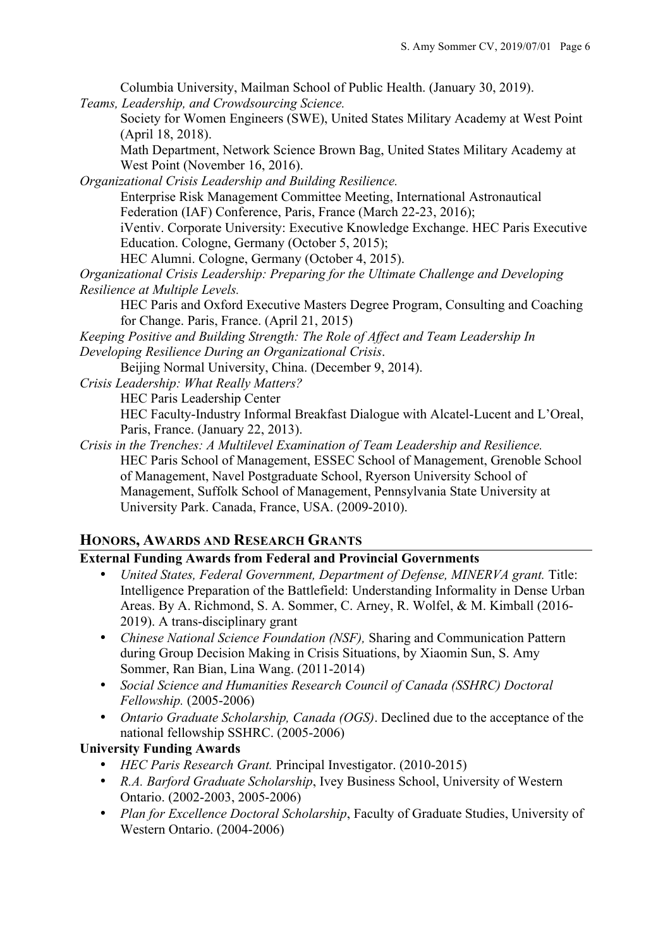Columbia University, Mailman School of Public Health. (January 30, 2019).

*Teams, Leadership, and Crowdsourcing Science.*

Society for Women Engineers (SWE), United States Military Academy at West Point (April 18, 2018).

Math Department, Network Science Brown Bag, United States Military Academy at West Point (November 16, 2016).

*Organizational Crisis Leadership and Building Resilience.*

Enterprise Risk Management Committee Meeting, International Astronautical Federation (IAF) Conference, Paris, France (March 22-23, 2016);

iVentiv. Corporate University: Executive Knowledge Exchange. HEC Paris Executive Education. Cologne, Germany (October 5, 2015);

HEC Alumni. Cologne, Germany (October 4, 2015).

*Organizational Crisis Leadership: Preparing for the Ultimate Challenge and Developing Resilience at Multiple Levels.*

HEC Paris and Oxford Executive Masters Degree Program, Consulting and Coaching for Change. Paris, France. (April 21, 2015)

*Keeping Positive and Building Strength: The Role of Affect and Team Leadership In Developing Resilience During an Organizational Crisis*.

Beijing Normal University, China. (December 9, 2014).

*Crisis Leadership: What Really Matters?* 

HEC Paris Leadership Center

HEC Faculty-Industry Informal Breakfast Dialogue with Alcatel-Lucent and L'Oreal, Paris, France. (January 22, 2013).

*Crisis in the Trenches: A Multilevel Examination of Team Leadership and Resilience.* HEC Paris School of Management, ESSEC School of Management, Grenoble School of Management, Navel Postgraduate School, Ryerson University School of Management, Suffolk School of Management, Pennsylvania State University at University Park. Canada, France, USA. (2009-2010).

## **HONORS, AWARDS AND RESEARCH GRANTS**

# **External Funding Awards from Federal and Provincial Governments**

- *United States, Federal Government, Department of Defense, MINERVA grant.* Title: Intelligence Preparation of the Battlefield: Understanding Informality in Dense Urban Areas. By A. Richmond, S. A. Sommer, C. Arney, R. Wolfel, & M. Kimball (2016- 2019). A trans-disciplinary grant
- *Chinese National Science Foundation (NSF),* Sharing and Communication Pattern during Group Decision Making in Crisis Situations, by Xiaomin Sun, S. Amy Sommer, Ran Bian, Lina Wang. (2011-2014)
- *Social Science and Humanities Research Council of Canada (SSHRC) Doctoral Fellowship.* (2005-2006)
- *Ontario Graduate Scholarship, Canada (OGS)*. Declined due to the acceptance of the national fellowship SSHRC. (2005-2006)

## **University Funding Awards**

- *HEC Paris Research Grant.* Principal Investigator. (2010-2015)
- *R.A. Barford Graduate Scholarship*, Ivey Business School, University of Western Ontario. (2002-2003, 2005-2006)
- *Plan for Excellence Doctoral Scholarship*, Faculty of Graduate Studies, University of Western Ontario. (2004-2006)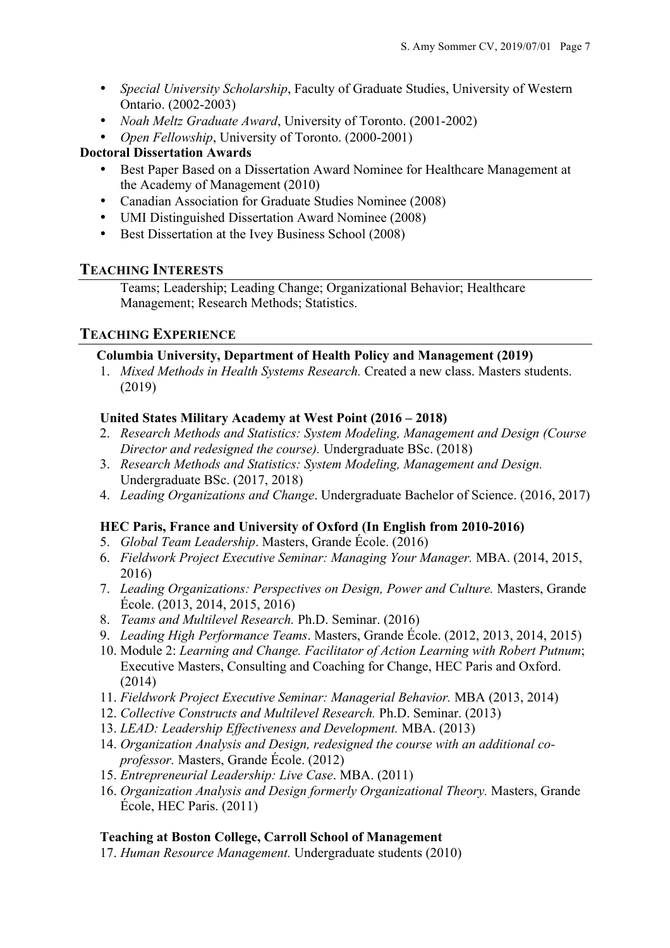- *Special University Scholarship*, Faculty of Graduate Studies, University of Western Ontario. (2002-2003)
- *Noah Meltz Graduate Award*, University of Toronto. (2001-2002)
- *Open Fellowship*, University of Toronto. (2000-2001)

#### **Doctoral Dissertation Awards**

- Best Paper Based on a Dissertation Award Nominee for Healthcare Management at the Academy of Management (2010)
- Canadian Association for Graduate Studies Nominee (2008)
- UMI Distinguished Dissertation Award Nominee (2008)
- Best Dissertation at the Ivey Business School (2008)

## **TEACHING INTERESTS**

Teams; Leadership; Leading Change; Organizational Behavior; Healthcare Management; Research Methods; Statistics.

## **TEACHING EXPERIENCE**

#### **Columbia University, Department of Health Policy and Management (2019)**

1. *Mixed Methods in Health Systems Research.* Created a new class. Masters students. (2019)

#### **United States Military Academy at West Point (2016 – 2018)**

- 2. *Research Methods and Statistics: System Modeling, Management and Design (Course Director and redesigned the course).* Undergraduate BSc. (2018)
- 3. *Research Methods and Statistics: System Modeling, Management and Design.*  Undergraduate BSc. (2017, 2018)
- 4. *Leading Organizations and Change*. Undergraduate Bachelor of Science. (2016, 2017)

## **HEC Paris, France and University of Oxford (In English from 2010-2016)**

- 5. *Global Team Leadership*. Masters, Grande École. (2016)
- 6. *Fieldwork Project Executive Seminar: Managing Your Manager.* MBA. (2014, 2015, 2016)
- 7. *Leading Organizations: Perspectives on Design, Power and Culture.* Masters, Grande École. (2013, 2014, 2015, 2016)
- 8. *Teams and Multilevel Research.* Ph.D. Seminar. (2016)
- 9. *Leading High Performance Teams*. Masters, Grande École. (2012, 2013, 2014, 2015)
- 10. Module 2: *Learning and Change. Facilitator of Action Learning with Robert Putnum*; Executive Masters, Consulting and Coaching for Change, HEC Paris and Oxford. (2014)
- 11. *Fieldwork Project Executive Seminar: Managerial Behavior.* MBA (2013, 2014)
- 12. *Collective Constructs and Multilevel Research.* Ph.D. Seminar. (2013)
- 13. *LEAD: Leadership Effectiveness and Development.* MBA. (2013)
- 14. *Organization Analysis and Design, redesigned the course with an additional coprofessor.* Masters, Grande École. (2012)
- 15. *Entrepreneurial Leadership: Live Case*. MBA. (2011)
- 16. *Organization Analysis and Design formerly Organizational Theory.* Masters, Grande École, HEC Paris. (2011)

## **Teaching at Boston College, Carroll School of Management**

17. *Human Resource Management.* Undergraduate students (2010)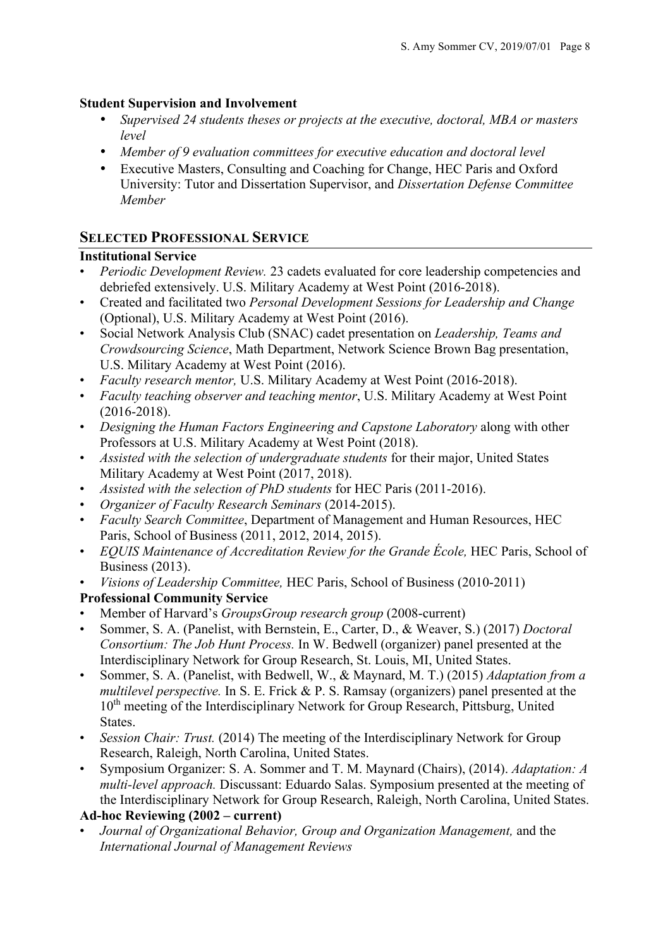## **Student Supervision and Involvement**

- *Supervised 24 students theses or projects at the executive, doctoral, MBA or masters level*
- *Member of 9 evaluation committees for executive education and doctoral level*
- Executive Masters, Consulting and Coaching for Change, HEC Paris and Oxford University: Tutor and Dissertation Supervisor, and *Dissertation Defense Committee Member*

# **SELECTED PROFESSIONAL SERVICE**

## **Institutional Service**

- *Periodic Development Review.* 23 cadets evaluated for core leadership competencies and debriefed extensively. U.S. Military Academy at West Point (2016-2018).
- Created and facilitated two *Personal Development Sessions for Leadership and Change* (Optional), U.S. Military Academy at West Point (2016).
- Social Network Analysis Club (SNAC) cadet presentation on *Leadership, Teams and Crowdsourcing Science*, Math Department, Network Science Brown Bag presentation, U.S. Military Academy at West Point (2016).
- *Faculty research mentor,* U.S. Military Academy at West Point (2016-2018).
- *Faculty teaching observer and teaching mentor*, U.S. Military Academy at West Point (2016-2018).
- *Designing the Human Factors Engineering and Capstone Laboratory* along with other Professors at U.S. Military Academy at West Point (2018).
- *Assisted with the selection of undergraduate students* for their major, United States Military Academy at West Point (2017, 2018).
- *Assisted with the selection of PhD students* for HEC Paris (2011-2016).
- *Organizer of Faculty Research Seminars* (2014-2015).
- *Faculty Search Committee*, Department of Management and Human Resources, HEC Paris, School of Business (2011, 2012, 2014, 2015).
- *EQUIS Maintenance of Accreditation Review for the Grande École,* HEC Paris, School of Business (2013).
- *Visions of Leadership Committee,* HEC Paris, School of Business (2010-2011)

## **Professional Community Service**

- Member of Harvard's *GroupsGroup research group* (2008-current)
- Sommer, S. A. (Panelist, with Bernstein, E., Carter, D., & Weaver, S.) (2017) *Doctoral Consortium: The Job Hunt Process.* In W. Bedwell (organizer) panel presented at the Interdisciplinary Network for Group Research, St. Louis, MI, United States.
- Sommer, S. A. (Panelist, with Bedwell, W., & Maynard, M. T.) (2015) *Adaptation from a multilevel perspective.* In S. E. Frick & P. S. Ramsay (organizers) panel presented at the 10<sup>th</sup> meeting of the Interdisciplinary Network for Group Research, Pittsburg, United States.
- *Session Chair: Trust.* (2014) The meeting of the Interdisciplinary Network for Group Research, Raleigh, North Carolina, United States.
- Symposium Organizer: S. A. Sommer and T. M. Maynard (Chairs), (2014). *Adaptation: A multi-level approach.* Discussant: Eduardo Salas. Symposium presented at the meeting of the Interdisciplinary Network for Group Research, Raleigh, North Carolina, United States. **Ad-hoc Reviewing (2002 – current)**
- *Journal of Organizational Behavior, Group and Organization Management,* and the *International Journal of Management Reviews*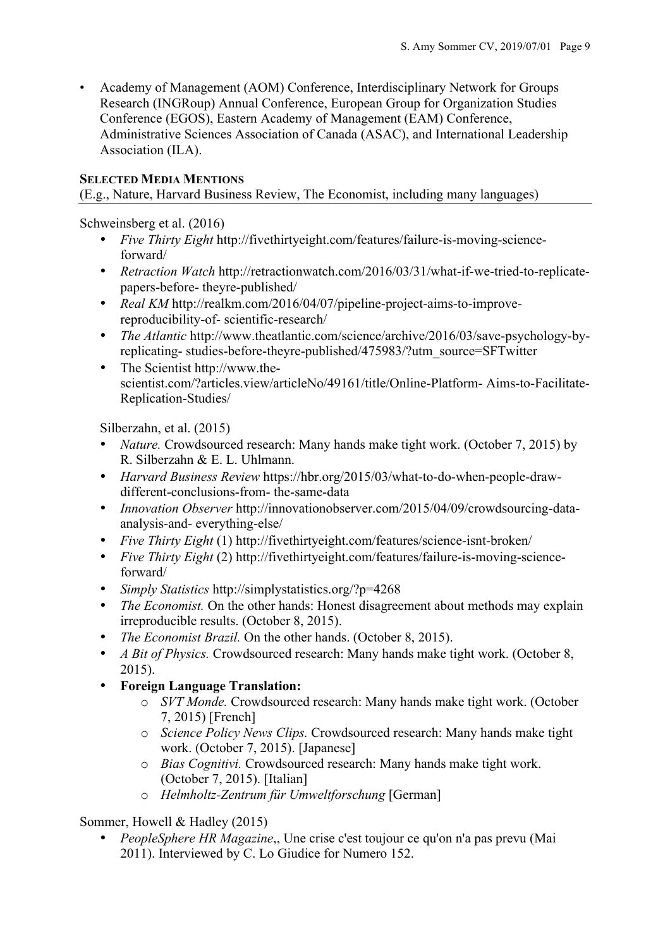• Academy of Management (AOM) Conference, Interdisciplinary Network for Groups Research (INGRoup) Annual Conference, European Group for Organization Studies Conference (EGOS), Eastern Academy of Management (EAM) Conference, Administrative Sciences Association of Canada (ASAC), and International Leadership Association (ILA).

## **SELECTED MEDIA MENTIONS**

(E.g., Nature, Harvard Business Review, The Economist, including many languages)

Schweinsberg et al. (2016)

- *Five Thirty Eight* http://fivethirtyeight.com/features/failure-is-moving-scienceforward/
- *Retraction Watch* http://retractionwatch.com/2016/03/31/what-if-we-tried-to-replicatepapers-before- theyre-published/
- *Real KM* http://realkm.com/2016/04/07/pipeline-project-aims-to-improvereproducibility-of- scientific-research/
- *The Atlantic* http://www.theatlantic.com/science/archive/2016/03/save-psychology-byreplicating- studies-before-theyre-published/475983/?utm\_source=SFTwitter
- The Scientist http://www.thescientist.com/?articles.view/articleNo/49161/title/Online-Platform- Aims-to-Facilitate-Replication-Studies/

Silberzahn, et al. (2015)

- *Nature.* Crowdsourced research: Many hands make tight work. (October 7, 2015) by R. Silberzahn & E. L. Uhlmann.
- *Harvard Business Review* https://hbr.org/2015/03/what-to-do-when-people-drawdifferent-conclusions-from- the-same-data
- *Innovation Observer* http://innovationobserver.com/2015/04/09/crowdsourcing-dataanalysis-and- everything-else/
- *Five Thirty Eight* (1) http://fivethirtyeight.com/features/science-isnt-broken/
- *Five Thirty Eight* (2) http://fivethirtyeight.com/features/failure-is-moving-scienceforward/
- *Simply Statistics* http://simplystatistics.org/?p=4268
- *The Economist*. On the other hands: Honest disagreement about methods may explain irreproducible results. (October 8, 2015).
- *The Economist Brazil.* On the other hands. (October 8, 2015).
- *A Bit of Physics.* Crowdsourced research: Many hands make tight work. (October 8, 2015).
- **Foreign Language Translation:**
	- o *SVT Monde.* Crowdsourced research: Many hands make tight work. (October 7, 2015) [French]
	- o *Science Policy News Clips.* Crowdsourced research: Many hands make tight work. (October 7, 2015). [Japanese]
	- o *Bias Cognitivi.* Crowdsourced research: Many hands make tight work. (October 7, 2015). [Italian]
	- o *Helmholtz-Zentrum für Umweltforschung* [German]

## Sommer, Howell & Hadley (2015)

• *PeopleSphere HR Magazine*,, Une crise c'est toujour ce qu'on n'a pas prevu (Mai 2011). Interviewed by C. Lo Giudice for Numero 152.